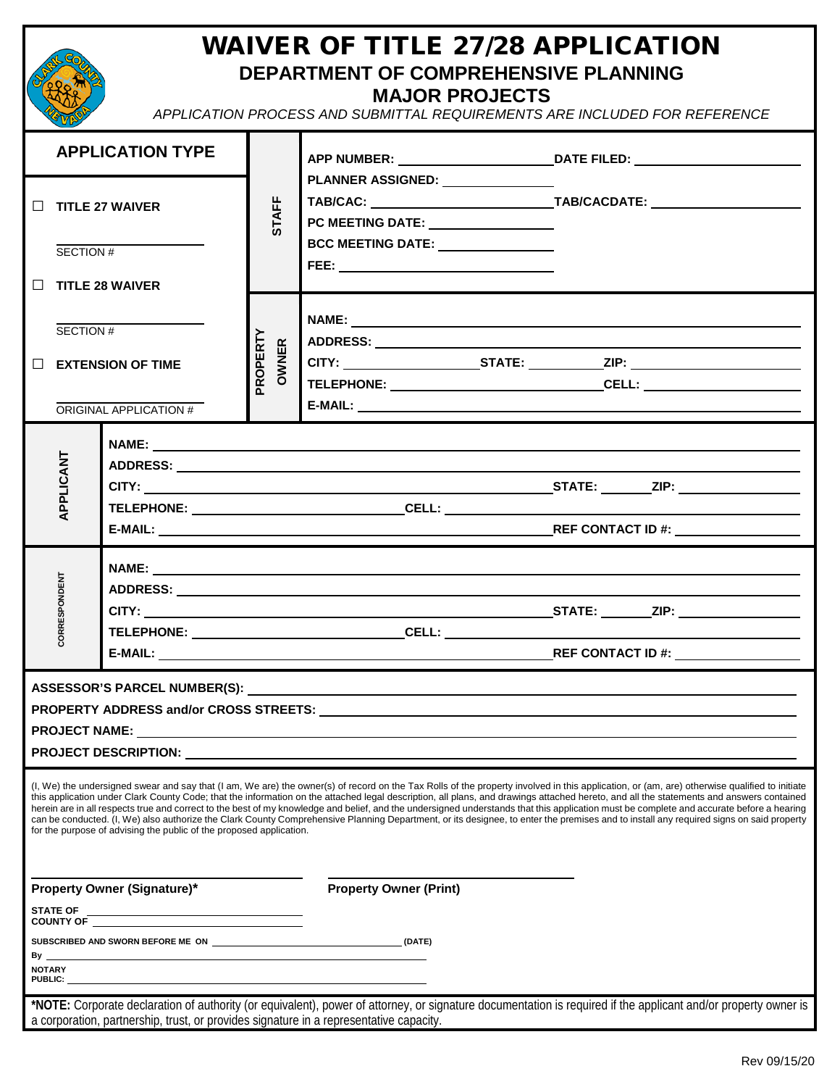

## WAIVER OF TITLE 27/28 APPLICATION **DEPARTMENT OF COMPREHENSIVE PLANNING MAJOR PROJECTS**

*APPLICATION PROCESS AND SUBMITTAL REQUIREMENTS ARE INCLUDED FOR REFERENCE*

| <b>APPLICATION TYPE</b>                                                                                                                                                                                                                                                                                                                                                                                                                                                                                                                                                                                                                                                                                                                                                                                                                              |                                                                                        |                   |                                                                                                                                                                                                                                                                                                                                                                      | APP NUMBER: ___________________________________DATE FILED: _____________________                                                                               |  |  |  |  |  |  |  |
|------------------------------------------------------------------------------------------------------------------------------------------------------------------------------------------------------------------------------------------------------------------------------------------------------------------------------------------------------------------------------------------------------------------------------------------------------------------------------------------------------------------------------------------------------------------------------------------------------------------------------------------------------------------------------------------------------------------------------------------------------------------------------------------------------------------------------------------------------|----------------------------------------------------------------------------------------|-------------------|----------------------------------------------------------------------------------------------------------------------------------------------------------------------------------------------------------------------------------------------------------------------------------------------------------------------------------------------------------------------|----------------------------------------------------------------------------------------------------------------------------------------------------------------|--|--|--|--|--|--|--|
| $\Box$<br><b>TITLE 27 WAIVER</b><br>SECTION #<br>П.<br><b>TITLE 28 WAIVER</b>                                                                                                                                                                                                                                                                                                                                                                                                                                                                                                                                                                                                                                                                                                                                                                        |                                                                                        | <b>STAFF</b>      | PLANNER ASSIGNED: NAMEL AND RESERVE TO A SERIES AND RESERVE TO A RESERVE THE RESERVE TO A REPORT OF THE RESERVE THAT A STREET OF THE RESERVE THAT A STREET OF THE RESERVE THAT A STREET OF THE RESERVE THAT A STREET OF THE RE<br>PC MEETING DATE: <u>___________________</u><br>BCC MEETING DATE: _______________<br>FEE: ______ <b>_______________________</b> ___ |                                                                                                                                                                |  |  |  |  |  |  |  |
| SECTION #<br>П<br><b>EXTENSION OF TIME</b><br>ORIGINAL APPLICATION #                                                                                                                                                                                                                                                                                                                                                                                                                                                                                                                                                                                                                                                                                                                                                                                 |                                                                                        | PROPERTY<br>OWNER |                                                                                                                                                                                                                                                                                                                                                                      |                                                                                                                                                                |  |  |  |  |  |  |  |
| APPLICANT                                                                                                                                                                                                                                                                                                                                                                                                                                                                                                                                                                                                                                                                                                                                                                                                                                            |                                                                                        |                   |                                                                                                                                                                                                                                                                                                                                                                      |                                                                                                                                                                |  |  |  |  |  |  |  |
| CORRESPONDENT                                                                                                                                                                                                                                                                                                                                                                                                                                                                                                                                                                                                                                                                                                                                                                                                                                        |                                                                                        |                   |                                                                                                                                                                                                                                                                                                                                                                      | <u> 1980 - Johann Barn, mars an t-Amerikaansk ferskeizh (</u>                                                                                                  |  |  |  |  |  |  |  |
| <b>PROJECT DESCRIPTION:</b>                                                                                                                                                                                                                                                                                                                                                                                                                                                                                                                                                                                                                                                                                                                                                                                                                          |                                                                                        |                   |                                                                                                                                                                                                                                                                                                                                                                      |                                                                                                                                                                |  |  |  |  |  |  |  |
| (I, We) the undersigned swear and say that (I am, We are) the owner(s) of record on the Tax Rolls of the property involved in this application, or (am, are) otherwise qualified to initiate<br>this application under Clark County Code; that the information on the attached legal description, all plans, and drawings attached hereto, and all the statements and answers contained<br>herein are in all respects true and correct to the best of my knowledge and belief, and the undersigned understands that this application must be complete and accurate before a hearing<br>can be conducted. (I, We) also authorize the Clark County Comprehensive Planning Department, or its designee, to enter the premises and to install any required signs on said property<br>for the purpose of advising the public of the proposed application. |                                                                                        |                   |                                                                                                                                                                                                                                                                                                                                                                      |                                                                                                                                                                |  |  |  |  |  |  |  |
| Property Owner (Signature)*                                                                                                                                                                                                                                                                                                                                                                                                                                                                                                                                                                                                                                                                                                                                                                                                                          |                                                                                        |                   | <b>Property Owner (Print)</b>                                                                                                                                                                                                                                                                                                                                        |                                                                                                                                                                |  |  |  |  |  |  |  |
|                                                                                                                                                                                                                                                                                                                                                                                                                                                                                                                                                                                                                                                                                                                                                                                                                                                      |                                                                                        |                   |                                                                                                                                                                                                                                                                                                                                                                      |                                                                                                                                                                |  |  |  |  |  |  |  |
| SUBSCRIBED AND SWORN BEFORE ME ON (DATE)<br><u> 1980 - Johann Barn, fransk politik (f. 1980)</u>                                                                                                                                                                                                                                                                                                                                                                                                                                                                                                                                                                                                                                                                                                                                                     |                                                                                        |                   |                                                                                                                                                                                                                                                                                                                                                                      |                                                                                                                                                                |  |  |  |  |  |  |  |
| By _<br><b>NOTARY</b><br>PUBLIC:                                                                                                                                                                                                                                                                                                                                                                                                                                                                                                                                                                                                                                                                                                                                                                                                                     |                                                                                        |                   |                                                                                                                                                                                                                                                                                                                                                                      |                                                                                                                                                                |  |  |  |  |  |  |  |
|                                                                                                                                                                                                                                                                                                                                                                                                                                                                                                                                                                                                                                                                                                                                                                                                                                                      | a corporation, partnership, trust, or provides signature in a representative capacity. |                   |                                                                                                                                                                                                                                                                                                                                                                      | *NOTE: Corporate declaration of authority (or equivalent), power of attorney, or signature documentation is required if the applicant and/or property owner is |  |  |  |  |  |  |  |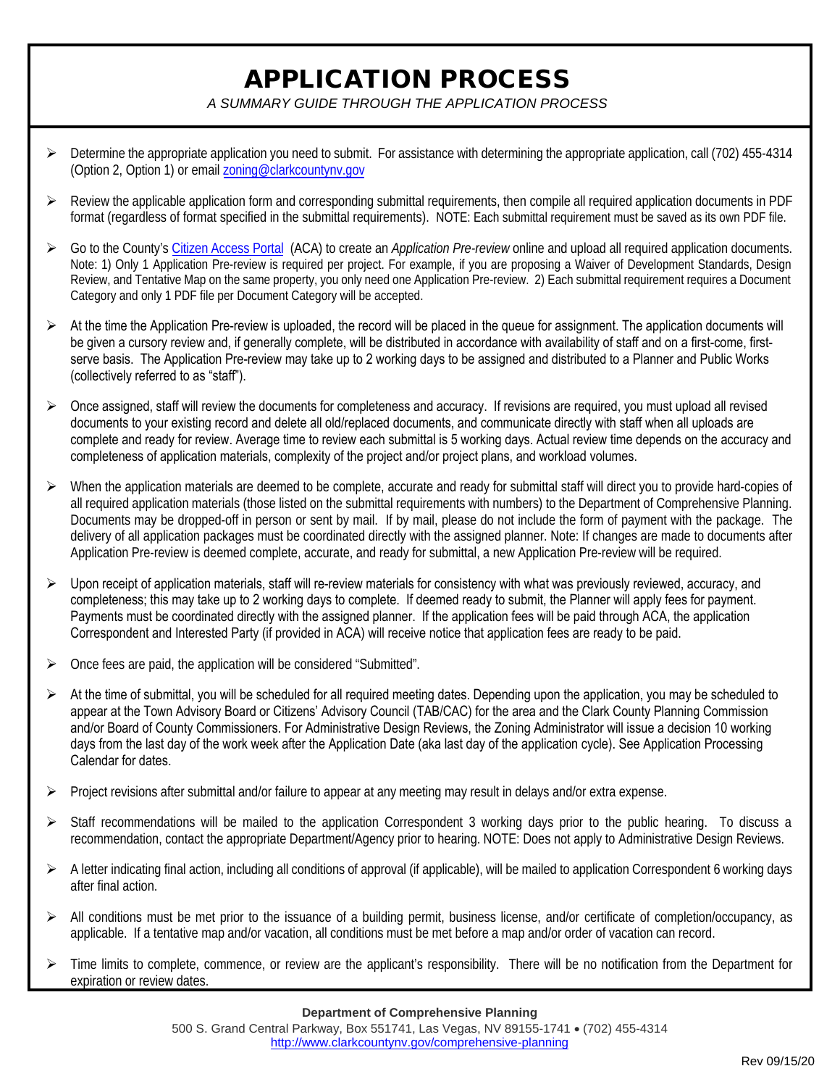## APPLICATION PROCESS

*A SUMMARY GUIDE THROUGH THE APPLICATION PROCESS* 

- $\triangleright$  Determine the appropriate application you need to submit. For assistance with determining the appropriate application, call (702) 455-4314 (Option 2, Option 1) or email zoning@clarkcountynv.gov
- $\triangleright$  Review the applicable application form and corresponding submittal requirements, then compile all required application documents in PDF format (regardless of format specified in the submittal requirements). NOTE: Each submittal requirement must be saved as its own PDF file.
- Go to the County's Citizen Access Portal (ACA) to create an *Application Pre-review* online and upload all required application documents. Note: 1) Only 1 Application Pre-review is required per project. For example, if you are proposing a Waiver of Development Standards, Design Review, and Tentative Map on the same property, you only need one Application Pre-review. 2) Each submittal requirement requires a Document Category and only 1 PDF file per Document Category will be accepted.
- $\triangleright$  At the time the Application Pre-review is uploaded, the record will be placed in the queue for assignment. The application documents will be given a cursory review and, if generally complete, will be distributed in accordance with availability of staff and on a first-come, firstserve basis. The Application Pre-review may take up to 2 working days to be assigned and distributed to a Planner and Public Works (collectively referred to as "staff").
- $\triangleright$  Once assigned, staff will review the documents for completeness and accuracy. If revisions are required, you must upload all revised documents to your existing record and delete all old/replaced documents, and communicate directly with staff when all uploads are complete and ready for review. Average time to review each submittal is 5 working days. Actual review time depends on the accuracy and completeness of application materials, complexity of the project and/or project plans, and workload volumes.
- $\triangleright$  When the application materials are deemed to be complete, accurate and ready for submittal staff will direct you to provide hard-copies of all required application materials (those listed on the submittal requirements with numbers) to the Department of Comprehensive Planning. Documents may be dropped-off in person or sent by mail. If by mail, please do not include the form of payment with the package. The delivery of all application packages must be coordinated directly with the assigned planner. Note: If changes are made to documents after Application Pre-review is deemed complete, accurate, and ready for submittal, a new Application Pre-review will be required.
- $\triangleright$  Upon receipt of application materials, staff will re-review materials for consistency with what was previously reviewed, accuracy, and completeness; this may take up to 2 working days to complete. If deemed ready to submit, the Planner will apply fees for payment. Payments must be coordinated directly with the assigned planner. If the application fees will be paid through ACA, the application Correspondent and Interested Party (if provided in ACA) will receive notice that application fees are ready to be paid.
- $\triangleright$  Once fees are paid, the application will be considered "Submitted".
- $\triangleright$  At the time of submittal, you will be scheduled for all required meeting dates. Depending upon the application, you may be scheduled to appear at the Town Advisory Board or Citizens' Advisory Council (TAB/CAC) for the area and the Clark County Planning Commission and/or Board of County Commissioners. For Administrative Design Reviews, the Zoning Administrator will issue a decision 10 working days from the last day of the work week after the Application Date (aka last day of the application cycle). See Application Processing Calendar for dates.
- Project revisions after submittal and/or failure to appear at any meeting may result in delays and/or extra expense.
- Staff recommendations will be mailed to the application Correspondent 3 working days prior to the public hearing. To discuss a recommendation, contact the appropriate Department/Agency prior to hearing. NOTE: Does not apply to Administrative Design Reviews.
- $\triangleright$  A letter indicating final action, including all conditions of approval (if applicable), will be mailed to application Correspondent 6 working days after final action.
- $\triangleright$  All conditions must be met prior to the issuance of a building permit, business license, and/or certificate of completion/occupancy, as applicable. If a tentative map and/or vacation, all conditions must be met before a map and/or order of vacation can record.
- $\triangleright$  Time limits to complete, commence, or review are the applicant's responsibility. There will be no notification from the Department for expiration or review dates.